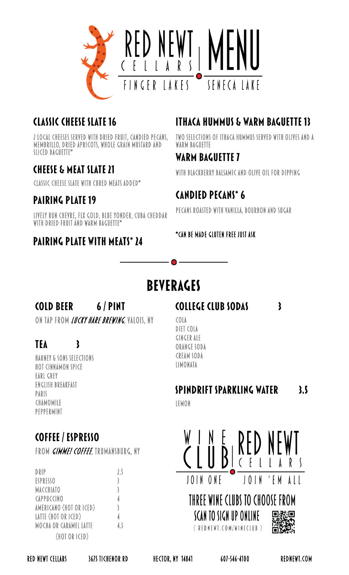

## **CLASSIC CHEESE SLATE 16**

2 local cheeses served with dried fruit, candied pecans, membrillo, dried apricots, whole grain mustard and sliced baguette\*

## **CHEESE & MEAT SLATE 21**

classic cheese slate with cured meats added\*

## **PAIRING PLATE 19**

Lively Run Chevre, FLX Gold, Blue Yonder, Cuba Cheddar with dried fruit and warm baguette\*

### **PAIRING PLATE WITH MEATS\* 24**

## **ITHACA HUMMUS & WARM BAGUETTE 13**

TWO SELECTIONS OF ITHACA HUMMUS SERVED WITH OLIVES AND A WARM BAGUETTE

### WARM BAGUETTE 7

with blackberry balsamic and olive oil for dipping

## **CANDIED PECANS\* 6**

pecans roasted with vanilla, bourbon and sugar

\*can be made gluten free just ask

# **BEVERAGES**

#### **COLD BEER** 6/PINT

 $\mathbf{\mathbf{3}}$ 

ON TAP FROM *LUCKY HARE BREWING*, VALOIS, NY

## **TEA**

Harney & Sons Selections Hot Cinnamon Spice Earl Grey English Breakfast Paris **CHAMOMILE** Peppermint

## COFFEE / ESPRESSO

FROM *GIMME! COFFEE*, TRUMANSBURG, NY

| DRIP                          | 2.5 |
|-------------------------------|-----|
| <b>ESPRESSO</b>               | 3   |
| <b>MACCHIATO</b>              | 3   |
| <b>CAPPUCCINO</b>             | 4   |
| AMERICANO (HOT OR ICED)       | 3   |
| LATTE (HOT OR ICED)           | 4   |
| <b>MOCHA OR CARAMEL LATTE</b> | 4.5 |
| (HOT OR ICED)                 |     |

**COLLEGE CLUB SODAS** 

COLA DIET COLA GINGER ALE ORANGE SODA CREAM SODA LIMONATA

#### **SPINDRIFT SPARKLING WATER**  $3.5$

 $\mathbf{3}$ 

Lemon



RED NEWT CELLARS 3675 TICHENOR RD HECTOR, NY 14841 607-546-4100 REDNEWT.COM